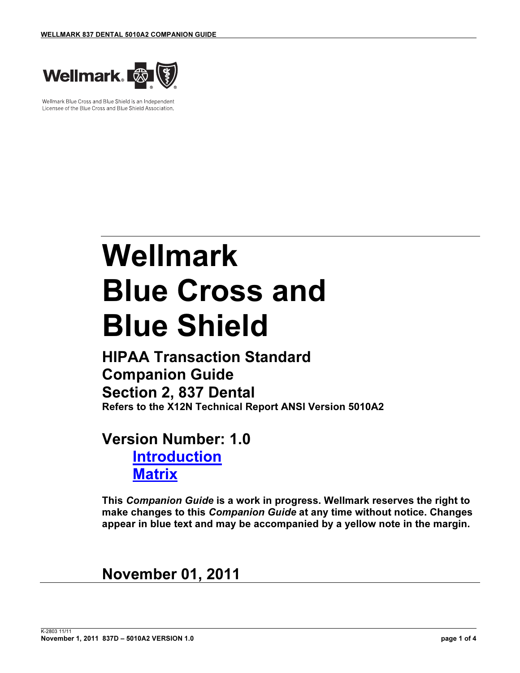

Wellmark Blue Cross and Blue Shield is an Independent Licensee of the Blue Cross and Blue Shield Association.

# Wellmark Blue Cross and Blue Shield

HIPAA Transaction Standard Companion Guide Section 2, 837 Dental Refers to the X12N Technical Report ANSI Version 5010A2

## Version Number: 1.0 **Introduction Matrix**

This Companion Guide is a work in progress. Wellmark reserves the right to make changes to this Companion Guide at any time without notice. Changes appear in blue text and may be accompanied by a yellow note in the margin.

## November 01, 2011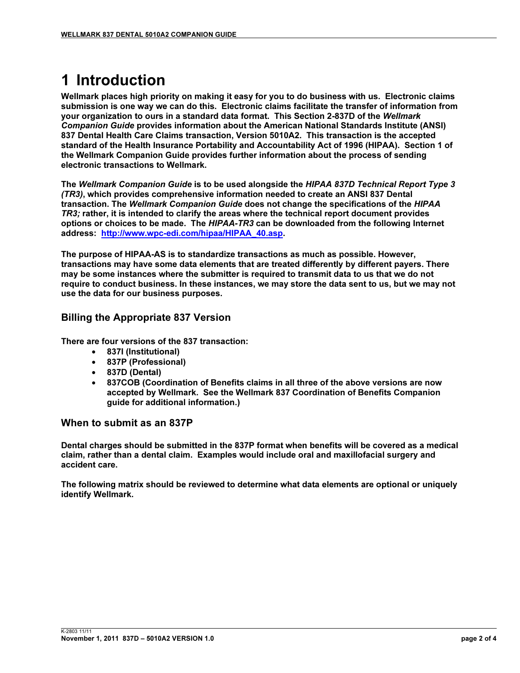# 1 Introduction

Wellmark places high priority on making it easy for you to do business with us. Electronic claims submission is one way we can do this. Electronic claims facilitate the transfer of information from your organization to ours in a standard data format. This Section 2-837D of the Wellmark Companion Guide provides information about the American National Standards Institute (ANSI) 837 Dental Health Care Claims transaction, Version 5010A2. This transaction is the accepted standard of the Health Insurance Portability and Accountability Act of 1996 (HIPAA). Section 1 of the Wellmark Companion Guide provides further information about the process of sending electronic transactions to Wellmark.

The Wellmark Companion Guide is to be used alongside the HIPAA 837D Technical Report Type 3 (TR3), which provides comprehensive information needed to create an ANSI 837 Dental transaction. The Wellmark Companion Guide does not change the specifications of the HIPAA TR3; rather, it is intended to clarify the areas where the technical report document provides options or choices to be made. The HIPAA-TR3 can be downloaded from the following Internet address: http://www.wpc-edi.com/hipaa/HIPAA\_40.asp.

The purpose of HIPAA-AS is to standardize transactions as much as possible. However, transactions may have some data elements that are treated differently by different payers. There may be some instances where the submitter is required to transmit data to us that we do not require to conduct business. In these instances, we may store the data sent to us, but we may not use the data for our business purposes.

## Billing the Appropriate 837 Version

There are four versions of the 837 transaction:

- 837I (Institutional)
- 837P (Professional)
- 837D (Dental)
- 837COB (Coordination of Benefits claims in all three of the above versions are now accepted by Wellmark. See the Wellmark 837 Coordination of Benefits Companion guide for additional information.)

#### When to submit as an 837P

Dental charges should be submitted in the 837P format when benefits will be covered as a medical claim, rather than a dental claim. Examples would include oral and maxillofacial surgery and accident care.

The following matrix should be reviewed to determine what data elements are optional or uniquely identify Wellmark.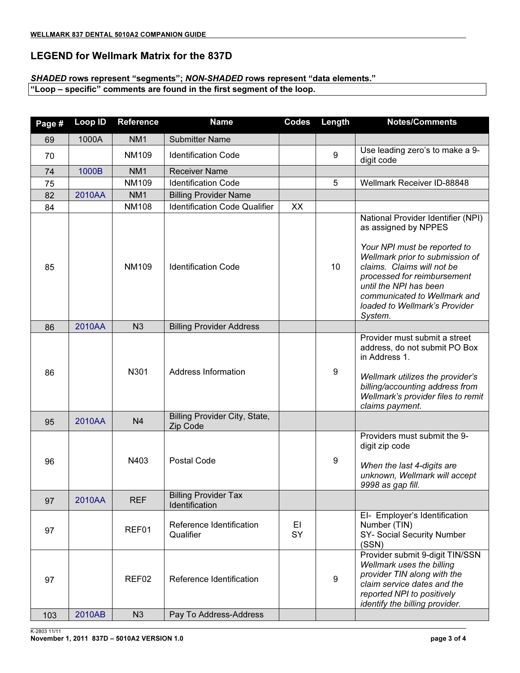#### LEGEND for Wellmark Matrix for the 837D

## SHADED rows represent "segments"; NON-SHADED rows represent "data elements."

"Loop – specific" comments are found in the first segment of the loop.

| Page # | Loop ID | Reference         | <b>Name</b>                                   | <b>Codes</b> | Length           | <b>Notes/Comments</b>                                                                                                                                                                                                                                                                            |
|--------|---------|-------------------|-----------------------------------------------|--------------|------------------|--------------------------------------------------------------------------------------------------------------------------------------------------------------------------------------------------------------------------------------------------------------------------------------------------|
| 69     | 1000A   | NM <sub>1</sub>   | <b>Submitter Name</b>                         |              |                  |                                                                                                                                                                                                                                                                                                  |
| 70     |         | <b>NM109</b>      | <b>Identification Code</b>                    |              | $9\,$            | Use leading zero's to make a 9-<br>digit code                                                                                                                                                                                                                                                    |
| 74     | 1000B   | NM <sub>1</sub>   | <b>Receiver Name</b>                          |              |                  |                                                                                                                                                                                                                                                                                                  |
| 75     |         | <b>NM109</b>      | <b>Identification Code</b>                    |              | 5                | Wellmark Receiver ID-88848                                                                                                                                                                                                                                                                       |
| 82     | 2010AA  | NM <sub>1</sub>   | <b>Billing Provider Name</b>                  |              |                  |                                                                                                                                                                                                                                                                                                  |
| 84     |         | <b>NM108</b>      | <b>Identification Code Qualifier</b>          | XX           |                  |                                                                                                                                                                                                                                                                                                  |
| 85     |         | <b>NM109</b>      | <b>Identification Code</b>                    |              | 10               | National Provider Identifier (NPI)<br>as assigned by NPPES<br>Your NPI must be reported to<br>Wellmark prior to submission of<br>claims. Claims will not be<br>processed for reimbursement<br>until the NPI has been<br>communicated to Wellmark and<br>loaded to Wellmark's Provider<br>System. |
| 86     | 2010AA  | N <sub>3</sub>    | <b>Billing Provider Address</b>               |              |                  |                                                                                                                                                                                                                                                                                                  |
| 86     |         | N301              | <b>Address Information</b>                    |              | 9                | Provider must submit a street<br>address, do not submit PO Box<br>in Address 1.<br>Wellmark utilizes the provider's<br>billing/accounting address from<br>Wellmark's provider files to remit<br>claims payment.                                                                                  |
| 95     | 2010AA  | N <sub>4</sub>    | Billing Provider City, State,<br>Zip Code     |              |                  |                                                                                                                                                                                                                                                                                                  |
| 96     |         | N403              | Postal Code                                   |              | 9                | Providers must submit the 9-<br>digit zip code<br>When the last 4-digits are<br>unknown, Wellmark will accept<br>9998 as gap fill.                                                                                                                                                               |
| 97     | 2010AA  | <b>REF</b>        | <b>Billing Provider Tax</b><br>Identification |              |                  |                                                                                                                                                                                                                                                                                                  |
| 97     |         | REF01             | Reference Identification<br>Qualifier         | EI<br>SY     |                  | EI- Employer's Identification<br>Number (TIN)<br>SY- Social Security Number<br>(SSN)                                                                                                                                                                                                             |
| 97     |         | REF <sub>02</sub> | Reference Identification                      |              | $\boldsymbol{9}$ | Provider submit 9-digit TIN/SSN<br>Wellmark uses the billing<br>provider TIN along with the<br>claim service dates and the<br>reported NPI to positively<br>identify the billing provider.                                                                                                       |
| 103    | 2010AB  | N3                | Pay To Address-Address                        |              |                  |                                                                                                                                                                                                                                                                                                  |